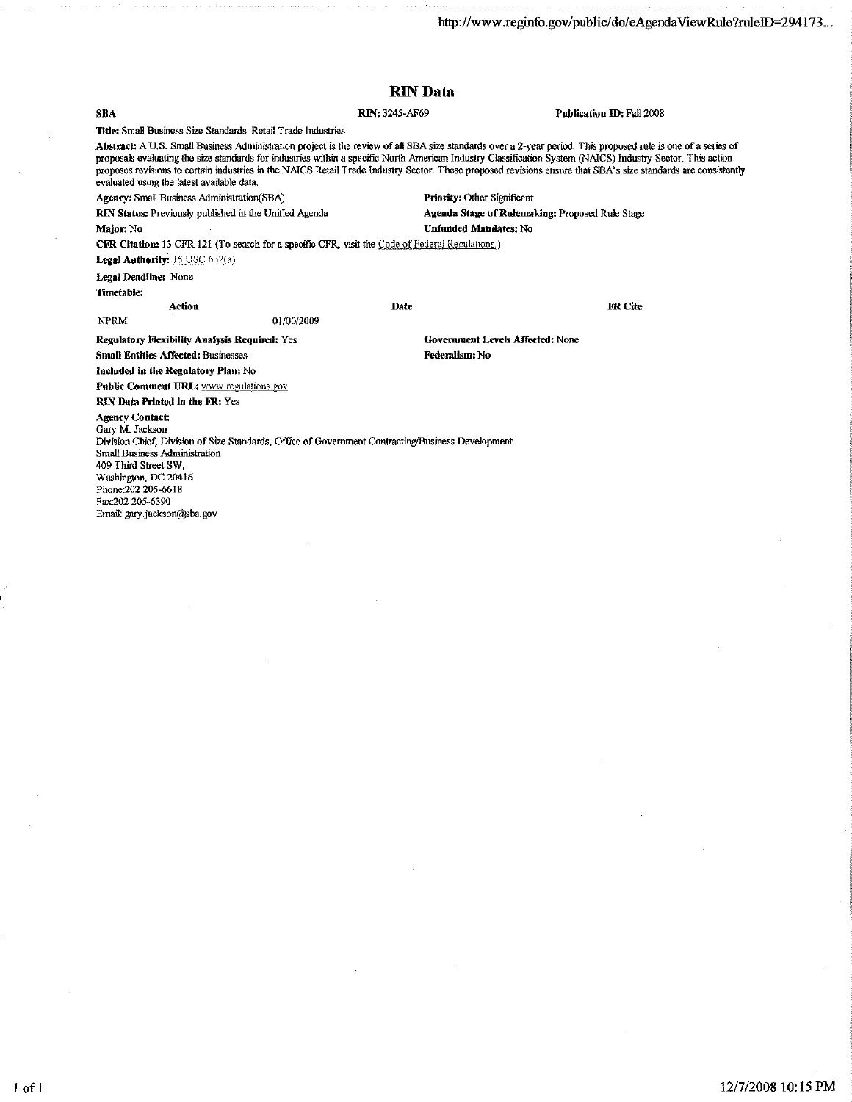| <b>RIN</b> Data                                                                                        |                                                                                                                                                                                                                                                                                                                                                                                                                                                                                                |
|--------------------------------------------------------------------------------------------------------|------------------------------------------------------------------------------------------------------------------------------------------------------------------------------------------------------------------------------------------------------------------------------------------------------------------------------------------------------------------------------------------------------------------------------------------------------------------------------------------------|
| <b>RIN: 3245-AF69</b>                                                                                  | Publication ID: Fall 2008                                                                                                                                                                                                                                                                                                                                                                                                                                                                      |
| Title: Small Business Size Standards: Retail Trade Industries                                          |                                                                                                                                                                                                                                                                                                                                                                                                                                                                                                |
|                                                                                                        | Abstract: A U.S. Small Business Administration project is the review of all SBA size standards over a 2-year period. This proposed rule is one of a series of<br>proposals evaluating the size standards for industries within a specific North American Industry Classification System (NAICS) Industry Sector. This action<br>proposes revisions to certain industries in the NAICS Retail Trade Industry Sector. These proposed revisions ensure that SBA's size standards are consistently |
| <b>Priority: Other Significant</b><br><b>Agency:</b> Small Business Administration(SBA)                |                                                                                                                                                                                                                                                                                                                                                                                                                                                                                                |
| RIN Status: Previously published in the Unified Agenda                                                 | Agenda Stage of Rulemaking: Proposed Rule Stage                                                                                                                                                                                                                                                                                                                                                                                                                                                |
| <b>Unfunded Mandates: No</b>                                                                           |                                                                                                                                                                                                                                                                                                                                                                                                                                                                                                |
| <b>CFR Citation:</b> 13 CFR 121 (To search for a specific CFR, visit the Code of Federal Regulations.) |                                                                                                                                                                                                                                                                                                                                                                                                                                                                                                |
|                                                                                                        |                                                                                                                                                                                                                                                                                                                                                                                                                                                                                                |
|                                                                                                        |                                                                                                                                                                                                                                                                                                                                                                                                                                                                                                |
|                                                                                                        |                                                                                                                                                                                                                                                                                                                                                                                                                                                                                                |
| Date                                                                                                   | <b>FR Cite</b>                                                                                                                                                                                                                                                                                                                                                                                                                                                                                 |
| 01/00/2009                                                                                             |                                                                                                                                                                                                                                                                                                                                                                                                                                                                                                |
| <b>Regulatory Flexibility Analysis Required: Yes</b>                                                   | <b>Government Levels Affected: None</b>                                                                                                                                                                                                                                                                                                                                                                                                                                                        |
| Federalism: No                                                                                         |                                                                                                                                                                                                                                                                                                                                                                                                                                                                                                |
|                                                                                                        |                                                                                                                                                                                                                                                                                                                                                                                                                                                                                                |
| Public Comment URL: www.regulations.gov                                                                |                                                                                                                                                                                                                                                                                                                                                                                                                                                                                                |
|                                                                                                        |                                                                                                                                                                                                                                                                                                                                                                                                                                                                                                |
| Division Chief, Division of Size Standards, Office of Government Contracting/Business Development      |                                                                                                                                                                                                                                                                                                                                                                                                                                                                                                |
|                                                                                                        |                                                                                                                                                                                                                                                                                                                                                                                                                                                                                                |

Email: gary.jackson@Sba.gov